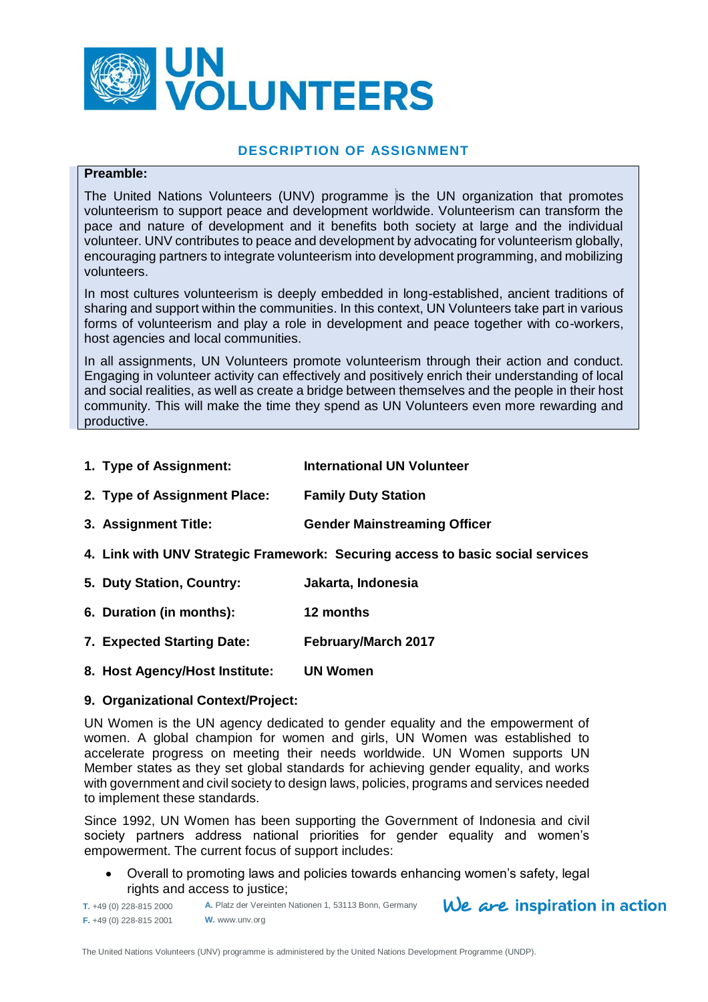

# **DESCRIPTION OF ASSIGNMENT**

#### **Preamble:**

The United Nations Volunteers (UNV) programme is the UN organization that promotes volunteerism to support peace and development worldwide. Volunteerism can transform the pace and nature of development and it benefits both society at large and the individual volunteer. UNV contributes to peace and development by advocating for volunteerism globally, encouraging partners to integrate volunteerism into development programming, and mobilizing volunteers.

In most cultures volunteerism is deeply embedded in long-established, ancient traditions of sharing and support within the communities. In this context, UN Volunteers take part in various forms of volunteerism and play a role in development and peace together with co-workers, host agencies and local communities.

In all assignments, UN Volunteers promote volunteerism through their action and conduct. Engaging in volunteer activity can effectively and positively enrich their understanding of local and social realities, as well as create a bridge between themselves and the people in their host community. This will make the time they spend as UN Volunteers even more rewarding and productive.

- **1. Type of Assignment: International UN Volunteer**
- **2. Type of Assignment Place: Family Duty Station**
- **3. Assignment Title: Gender Mainstreaming Officer**
- **4. Link with UNV Strategic Framework: Securing access to basic social services**
- **5. Duty Station, Country: Jakarta, Indonesia**
- **6. Duration (in months): 12 months**
- **7. Expected Starting Date: February/March 2017**
- **8. Host Agency/Host Institute: UN Women**

#### **9. Organizational Context/Project:**

UN Women is the UN agency dedicated to gender equality and the empowerment of women. A global champion for women and girls, UN Women was established to accelerate progress on meeting their needs worldwide. UN Women supports UN Member states as they set global standards for achieving gender equality, and works with government and civil society to design laws, policies, programs and services needed to implement these standards.

Since 1992, UN Women has been supporting the Government of Indonesia and civil society partners address national priorities for gender equality and women's empowerment. The current focus of support includes:

 Overall to promoting laws and policies towards enhancing women's safety, legal rights and access to justice;

We are inspiration in action

**T.** +49 (0) 228-815 2000 **F.** +49 (0) 228-815 2001 **A.** Platz der Vereinten Nationen 1, 53113 Bonn, Germany **W.** www.unv.org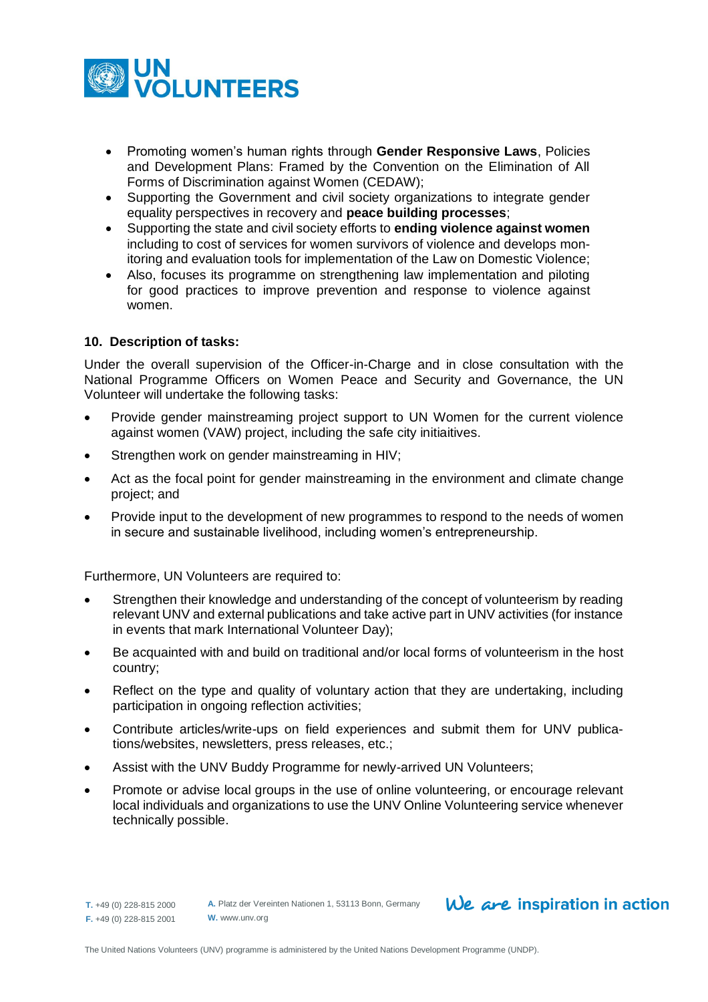

- Promoting women's human rights through **Gender Responsive Laws**, Policies and Development Plans: Framed by the Convention on the Elimination of All Forms of Discrimination against Women (CEDAW);
- Supporting the Government and civil society organizations to integrate gender equality perspectives in recovery and **peace building processes**;
- Supporting the state and civil society efforts to **ending violence against women** including to cost of services for women survivors of violence and develops monitoring and evaluation tools for implementation of the Law on Domestic Violence;
- Also, focuses its programme on strengthening law implementation and piloting for good practices to improve prevention and response to violence against women.

## **10. Description of tasks:**

Under the overall supervision of the Officer-in-Charge and in close consultation with the National Programme Officers on Women Peace and Security and Governance, the UN Volunteer will undertake the following tasks:

- Provide gender mainstreaming project support to UN Women for the current violence against women (VAW) project, including the safe city initiaitives.
- Strengthen work on gender mainstreaming in HIV;
- Act as the focal point for gender mainstreaming in the environment and climate change project; and
- Provide input to the development of new programmes to respond to the needs of women in secure and sustainable livelihood, including women's entrepreneurship.

Furthermore, UN Volunteers are required to:

- Strengthen their knowledge and understanding of the concept of volunteerism by reading relevant UNV and external publications and take active part in UNV activities (for instance in events that mark International Volunteer Day);
- Be acquainted with and build on traditional and/or local forms of volunteerism in the host country;
- Reflect on the type and quality of voluntary action that they are undertaking, including participation in ongoing reflection activities;
- Contribute articles/write-ups on field experiences and submit them for UNV publications/websites, newsletters, press releases, etc.;
- Assist with the UNV Buddy Programme for newly-arrived UN Volunteers;
- Promote or advise local groups in the use of online volunteering, or encourage relevant local individuals and organizations to use the UNV Online Volunteering service whenever technically possible.

# $We$  are inspiration in action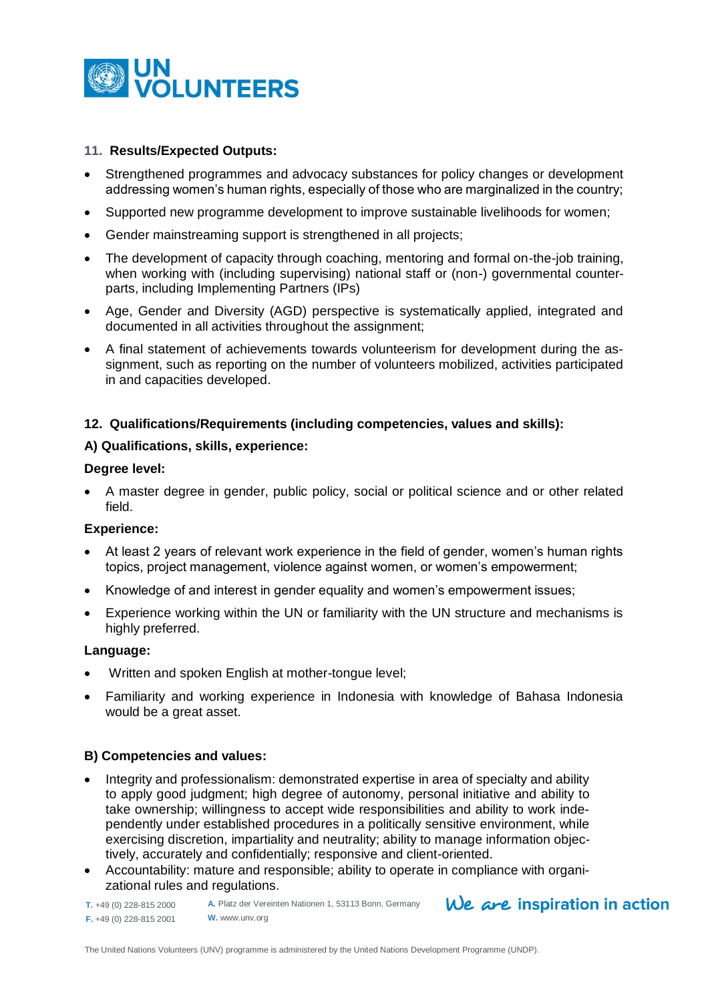

## **11. Results/Expected Outputs:**

- Strengthened programmes and advocacy substances for policy changes or development addressing women's human rights, especially of those who are marginalized in the country;
- Supported new programme development to improve sustainable livelihoods for women;
- Gender mainstreaming support is strengthened in all projects;
- The development of capacity through coaching, mentoring and formal on-the-job training, when working with (including supervising) national staff or (non-) governmental counterparts, including Implementing Partners (IPs)
- Age, Gender and Diversity (AGD) perspective is systematically applied, integrated and documented in all activities throughout the assignment;
- A final statement of achievements towards volunteerism for development during the assignment, such as reporting on the number of volunteers mobilized, activities participated in and capacities developed.

## **12. Qualifications/Requirements (including competencies, values and skills):**

## **A) Qualifications, skills, experience:**

#### **Degree level:**

 A master degree in gender, public policy, social or political science and or other related field.

## **Experience:**

- At least 2 years of relevant work experience in the field of gender, women's human rights topics, project management, violence against women, or women's empowerment;
- Knowledge of and interest in gender equality and women's empowerment issues;
- Experience working within the UN or familiarity with the UN structure and mechanisms is highly preferred.

#### **Language:**

- Written and spoken English at mother-tongue level;
- Familiarity and working experience in Indonesia with knowledge of Bahasa Indonesia would be a great asset.

# **B) Competencies and values:**

- Integrity and professionalism: demonstrated expertise in area of specialty and ability to apply good judgment; high degree of autonomy, personal initiative and ability to take ownership; willingness to accept wide responsibilities and ability to work independently under established procedures in a politically sensitive environment, while exercising discretion, impartiality and neutrality; ability to manage information objectively, accurately and confidentially; responsive and client-oriented.
- Accountability: mature and responsible; ability to operate in compliance with organizational rules and regulations.

**T.** +49 (0) 228-815 2000 **F.** +49 (0) 228-815 2001 **A.** Platz der Vereinten Nationen 1, 53113 Bonn, Germany **W.** www.unv.org

 $We$  are inspiration in action

The United Nations Volunteers (UNV) programme is administered by the United Nations Development Programme (UNDP).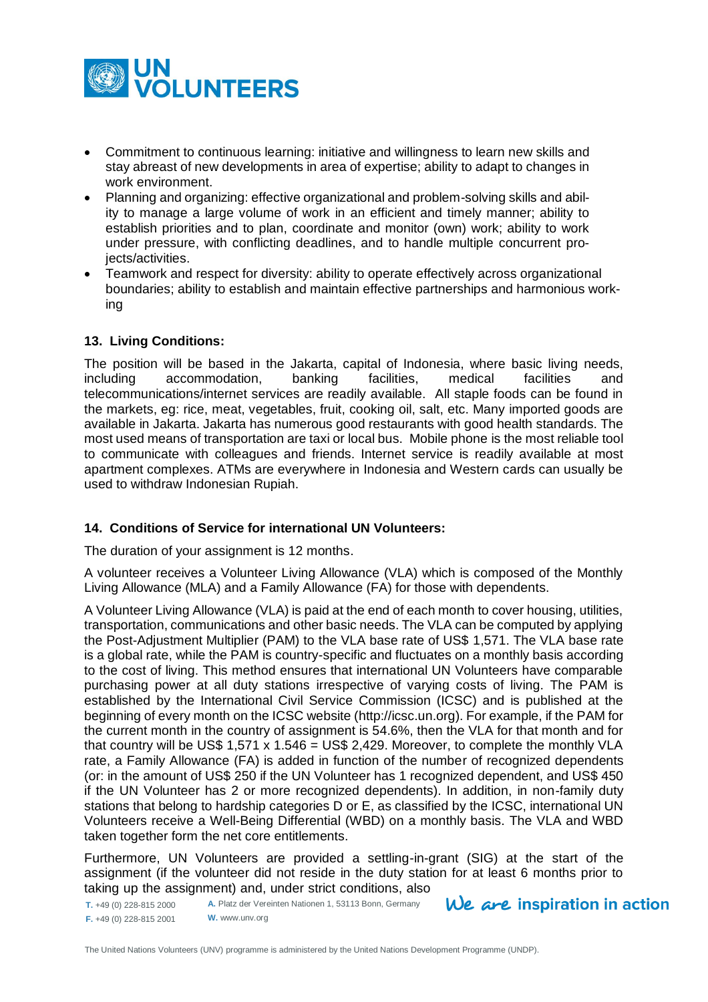

- Commitment to continuous learning: initiative and willingness to learn new skills and stay abreast of new developments in area of expertise; ability to adapt to changes in work environment.
- Planning and organizing: effective organizational and problem-solving skills and ability to manage a large volume of work in an efficient and timely manner; ability to establish priorities and to plan, coordinate and monitor (own) work; ability to work under pressure, with conflicting deadlines, and to handle multiple concurrent proiects/activities.
- Teamwork and respect for diversity: ability to operate effectively across organizational boundaries; ability to establish and maintain effective partnerships and harmonious working

# **13. Living Conditions:**

The position will be based in the Jakarta, capital of Indonesia, where basic living needs, including accommodation, banking facilities, medical facilities and telecommunications/internet services are readily available. All staple foods can be found in the markets, eg: rice, meat, vegetables, fruit, cooking oil, salt, etc. Many imported goods are available in Jakarta. Jakarta has numerous good restaurants with good health standards. The most used means of transportation are taxi or local bus. Mobile phone is the most reliable tool to communicate with colleagues and friends. Internet service is readily available at most apartment complexes. ATMs are everywhere in Indonesia and Western cards can usually be used to withdraw Indonesian Rupiah.

# **14. Conditions of Service for international UN Volunteers:**

The duration of your assignment is 12 months.

A volunteer receives a Volunteer Living Allowance (VLA) which is composed of the Monthly Living Allowance (MLA) and a Family Allowance (FA) for those with dependents.

A Volunteer Living Allowance (VLA) is paid at the end of each month to cover housing, utilities, transportation, communications and other basic needs. The VLA can be computed by applying the Post-Adjustment Multiplier (PAM) to the VLA base rate of US\$ 1,571. The VLA base rate is a global rate, while the PAM is country-specific and fluctuates on a monthly basis according to the cost of living. This method ensures that international UN Volunteers have comparable purchasing power at all duty stations irrespective of varying costs of living. The PAM is established by the International Civil Service Commission (ICSC) and is published at the beginning of every month on the ICSC website [\(http://icsc.un.org\)](http://icsc.un.org/). For example, if the PAM for the current month in the country of assignment is 54.6%, then the VLA for that month and for that country will be US\$ 1,571 x 1.546 = US\$ 2,429. Moreover, to complete the monthly VLA rate, a Family Allowance (FA) is added in function of the number of recognized dependents (or: in the amount of US\$ 250 if the UN Volunteer has 1 recognized dependent, and US\$ 450 if the UN Volunteer has 2 or more recognized dependents). In addition, in non-family duty stations that belong to hardship categories D or E, as classified by the ICSC, international UN Volunteers receive a Well-Being Differential (WBD) on a monthly basis. The VLA and WBD taken together form the net core entitlements.

Furthermore, UN Volunteers are provided a settling-in-grant (SIG) at the start of the assignment (if the volunteer did not reside in the duty station for at least 6 months prior to taking up the assignment) and, under strict conditions, also

**T.** +49 (0) 228-815 2000 **F.** +49 (0) 228-815 2001 **A.** Platz der Vereinten Nationen 1, 53113 Bonn, Germany **W.** www.unv.org

 $We$  are inspiration in action